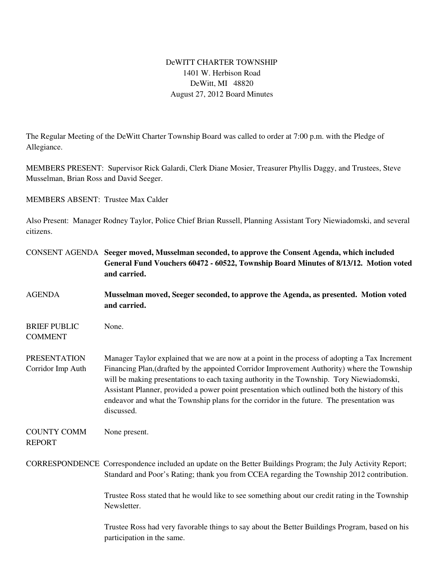## DeWITT CHARTER TOWNSHIP 1401 W. Herbison Road DeWitt, MI 48820 August 27, 2012 Board Minutes

The Regular Meeting of the DeWitt Charter Township Board was called to order at 7:00 p.m. with the Pledge of Allegiance.

MEMBERS PRESENT: Supervisor Rick Galardi, Clerk Diane Mosier, Treasurer Phyllis Daggy, and Trustees, Steve Musselman, Brian Ross and David Seeger.

MEMBERS ABSENT: Trustee Max Calder

Also Present: Manager Rodney Taylor, Police Chief Brian Russell, Planning Assistant Tory Niewiadomski, and several citizens.

|                                          | CONSENT AGENDA Seeger moved, Musselman seconded, to approve the Consent Agenda, which included<br>General Fund Vouchers 60472 - 60522, Township Board Minutes of 8/13/12. Motion voted<br>and carried.                                                                                                                                                                                                                                                                                                   |
|------------------------------------------|----------------------------------------------------------------------------------------------------------------------------------------------------------------------------------------------------------------------------------------------------------------------------------------------------------------------------------------------------------------------------------------------------------------------------------------------------------------------------------------------------------|
| <b>AGENDA</b>                            | Musselman moved, Seeger seconded, to approve the Agenda, as presented. Motion voted<br>and carried.                                                                                                                                                                                                                                                                                                                                                                                                      |
| <b>BRIEF PUBLIC</b><br><b>COMMENT</b>    | None.                                                                                                                                                                                                                                                                                                                                                                                                                                                                                                    |
| <b>PRESENTATION</b><br>Corridor Imp Auth | Manager Taylor explained that we are now at a point in the process of adopting a Tax Increment<br>Financing Plan, (drafted by the appointed Corridor Improvement Authority) where the Township<br>will be making presentations to each taxing authority in the Township. Tory Niewiadomski,<br>Assistant Planner, provided a power point presentation which outlined both the history of this<br>endeavor and what the Township plans for the corridor in the future. The presentation was<br>discussed. |
| <b>COUNTY COMM</b><br><b>REPORT</b>      | None present.                                                                                                                                                                                                                                                                                                                                                                                                                                                                                            |
|                                          | CORRESPONDENCE Correspondence included an update on the Better Buildings Program; the July Activity Report;<br>Standard and Poor's Rating; thank you from CCEA regarding the Township 2012 contribution.                                                                                                                                                                                                                                                                                                 |
|                                          | Trustee Ross stated that he would like to see something about our credit rating in the Township<br>Newsletter.                                                                                                                                                                                                                                                                                                                                                                                           |
|                                          | Trustee Ross had very favorable things to say about the Better Buildings Program, based on his<br>participation in the same.                                                                                                                                                                                                                                                                                                                                                                             |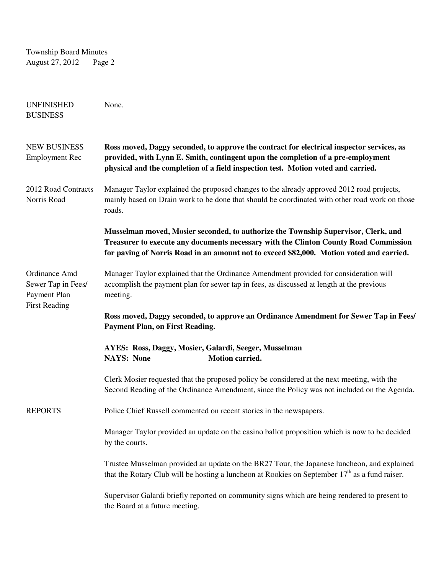Township Board Minutes August 27, 2012 Page 2

| <b>UNFINISHED</b><br><b>BUSINESS</b>                                        | None.                                                                                                                                                                                                                                                                  |
|-----------------------------------------------------------------------------|------------------------------------------------------------------------------------------------------------------------------------------------------------------------------------------------------------------------------------------------------------------------|
| <b>NEW BUSINESS</b><br><b>Employment Rec</b>                                | Ross moved, Daggy seconded, to approve the contract for electrical inspector services, as<br>provided, with Lynn E. Smith, contingent upon the completion of a pre-employment<br>physical and the completion of a field inspection test. Motion voted and carried.     |
| 2012 Road Contracts<br>Norris Road                                          | Manager Taylor explained the proposed changes to the already approved 2012 road projects,<br>mainly based on Drain work to be done that should be coordinated with other road work on those<br>roads.                                                                  |
|                                                                             | Musselman moved, Mosier seconded, to authorize the Township Supervisor, Clerk, and<br>Treasurer to execute any documents necessary with the Clinton County Road Commission<br>for paving of Norris Road in an amount not to exceed \$82,000. Motion voted and carried. |
| Ordinance Amd<br>Sewer Tap in Fees/<br>Payment Plan<br><b>First Reading</b> | Manager Taylor explained that the Ordinance Amendment provided for consideration will<br>accomplish the payment plan for sewer tap in fees, as discussed at length at the previous<br>meeting.                                                                         |
|                                                                             | Ross moved, Daggy seconded, to approve an Ordinance Amendment for Sewer Tap in Fees/<br><b>Payment Plan, on First Reading.</b>                                                                                                                                         |
|                                                                             | AYES: Ross, Daggy, Mosier, Galardi, Seeger, Musselman<br><b>NAYS: None</b><br>Motion carried.                                                                                                                                                                          |
|                                                                             | Clerk Mosier requested that the proposed policy be considered at the next meeting, with the<br>Second Reading of the Ordinance Amendment, since the Policy was not included on the Agenda.                                                                             |
| <b>REPORTS</b>                                                              | Police Chief Russell commented on recent stories in the newspapers.                                                                                                                                                                                                    |
|                                                                             | Manager Taylor provided an update on the casino ballot proposition which is now to be decided<br>by the courts.                                                                                                                                                        |
|                                                                             | Trustee Musselman provided an update on the BR27 Tour, the Japanese luncheon, and explained<br>that the Rotary Club will be hosting a luncheon at Rookies on September $17th$ as a fund raiser.                                                                        |
|                                                                             | Supervisor Galardi briefly reported on community signs which are being rendered to present to<br>the Board at a future meeting.                                                                                                                                        |